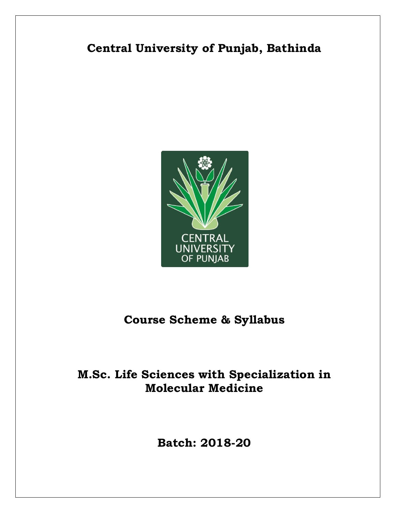# **Central University of Punjab, Bathinda**



# **Course Scheme & Syllabus**

# **M.Sc. Life Sciences with Specialization in Molecular Medicine**

**Batch: 2018-20**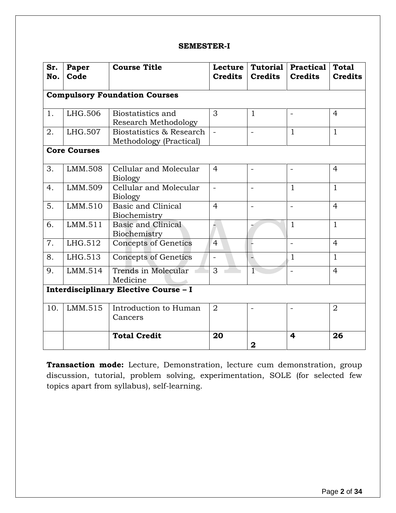#### **SEMESTER-I**

| Sr.<br>No.                            | Paper<br>Code                        | <b>Course Title</b>                                 | <b>Lecture</b><br><b>Credits</b> | Tutorial<br><b>Credits</b> | <b>Practical</b><br><b>Credits</b> | <b>Total</b><br><b>Credits</b> |  |
|---------------------------------------|--------------------------------------|-----------------------------------------------------|----------------------------------|----------------------------|------------------------------------|--------------------------------|--|
|                                       | <b>Compulsory Foundation Courses</b> |                                                     |                                  |                            |                                    |                                |  |
| 1.                                    | LHG.506                              | Biostatistics and<br><b>Research Methodology</b>    | 3                                | $\mathbf{1}$               |                                    | $\overline{4}$                 |  |
| 2.                                    | LHG.507                              | Biostatistics & Research<br>Methodology (Practical) | $\mathbf{r}$                     | $\blacksquare$             | $\mathbf{1}$                       | $\mathbf{1}$                   |  |
|                                       | <b>Core Courses</b>                  |                                                     |                                  |                            |                                    |                                |  |
| 3.                                    | LMM.508                              | Cellular and Molecular<br><b>Biology</b>            | $\overline{4}$                   | $\blacksquare$             | $\overline{\phantom{a}}$           | $\overline{4}$                 |  |
| 4.                                    | LMM.509                              | Cellular and Molecular<br><b>Biology</b>            |                                  | $\qquad \qquad -$          | $\mathbf{1}$                       | $\mathbf{1}$                   |  |
| 5.                                    | LMM.510                              | Basic and Clinical<br>Biochemistry                  | $\overline{4}$                   | $\equiv$                   |                                    | $\overline{4}$                 |  |
| 6.                                    | LMM.511                              | <b>Basic and Clinical</b><br>Biochemistry           |                                  |                            | $\mathbf 1$                        | $\mathbf{1}$                   |  |
| 7.                                    | LHG.512                              | Concepts of Genetics                                | $\overline{4}$                   |                            | $\equiv$                           | $\overline{4}$                 |  |
| 8.                                    | LHG.513                              | <b>Concepts of Genetics</b>                         |                                  |                            | $\mathbf{1}$                       | $\mathbf{1}$                   |  |
| 9.                                    | LMM.514                              | Trends in Molecular<br>Medicine                     | 3                                | $\overline{1}$             | $\blacksquare$                     | $\overline{4}$                 |  |
| Interdisciplinary Elective Course - I |                                      |                                                     |                                  |                            |                                    |                                |  |
| 10.                                   | LMM.515                              | Introduction to Human<br>Cancers                    | $\overline{2}$                   | $\overline{a}$             |                                    | $\overline{2}$                 |  |
|                                       |                                      | <b>Total Credit</b>                                 | 20                               | $\mathbf 2$                | 4                                  | 26                             |  |

**Transaction mode:** Lecture, Demonstration, lecture cum demonstration, group discussion, tutorial, problem solving, experimentation, SOLE (for selected few topics apart from syllabus), self-learning.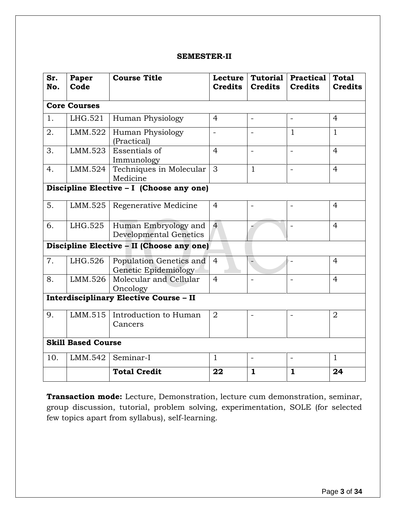#### **SEMESTER-II**

| Sr.<br>No.                                    | Paper<br>Code                            | <b>Course Title</b>                                   | Lecture<br><b>Credits</b> | <b>Tutorial</b><br><b>Credits</b> | <b>Practical</b><br><b>Credits</b> | <b>Total</b><br><b>Credits</b> |  |
|-----------------------------------------------|------------------------------------------|-------------------------------------------------------|---------------------------|-----------------------------------|------------------------------------|--------------------------------|--|
|                                               | <b>Core Courses</b>                      |                                                       |                           |                                   |                                    |                                |  |
| 1.                                            | LHG.521                                  | Human Physiology                                      | $\overline{4}$            | $\qquad \qquad -$                 | $\blacksquare$                     | $\overline{4}$                 |  |
| 2.                                            | LMM.522                                  | Human Physiology<br>(Practical)                       |                           |                                   | $\mathbf{1}$                       | $\mathbf{1}$                   |  |
| 3.                                            | LMM.523                                  | Essentials of<br>Immunology                           | $\overline{4}$            | $\overline{\phantom{a}}$          | L.                                 | $\overline{4}$                 |  |
| 4.                                            | LMM.524                                  | Techniques in Molecular<br>Medicine                   | 3                         | $\mathbf{1}$                      |                                    | $\overline{4}$                 |  |
|                                               | Discipline Elective - I (Choose any one) |                                                       |                           |                                   |                                    |                                |  |
| 5.                                            | LMM.525                                  | Regenerative Medicine                                 | $\overline{4}$            | $\blacksquare$                    | $\blacksquare$                     | $\overline{4}$                 |  |
| 6.                                            | LHG.525                                  | Human Embryology and<br><b>Developmental Genetics</b> | $\overline{4}$            |                                   | $\overline{\phantom{0}}$           | $\overline{4}$                 |  |
| Discipline Elective - II (Choose any one)     |                                          |                                                       |                           |                                   |                                    |                                |  |
| 7.                                            | LHG.526                                  | Population Genetics and<br>Genetic Epidemiology       | $\overline{4}$            |                                   | $\overline{a}$                     | $\overline{4}$                 |  |
| 8.                                            | LMM.526                                  | Molecular and Cellular<br>Oncology                    | $\overline{4}$            | $\overline{a}$                    | $\overline{\phantom{0}}$           | $\overline{4}$                 |  |
| <b>Interdisciplinary Elective Course - II</b> |                                          |                                                       |                           |                                   |                                    |                                |  |
| 9.                                            | LMM.515                                  | Introduction to Human<br>Cancers                      | $\overline{2}$            |                                   |                                    | $\overline{2}$                 |  |
| <b>Skill Based Course</b>                     |                                          |                                                       |                           |                                   |                                    |                                |  |
| 10.                                           | LMM.542                                  | Seminar-I                                             | $\mathbf{1}$              | $\equiv$                          | $\overline{a}$                     | $\mathbf{1}$                   |  |
|                                               |                                          | <b>Total Credit</b>                                   | 22                        | $\mathbf{1}$                      | $\mathbf{1}$                       | 24                             |  |

**Transaction mode:** Lecture, Demonstration, lecture cum demonstration, seminar, group discussion, tutorial, problem solving, experimentation, SOLE (for selected few topics apart from syllabus), self-learning.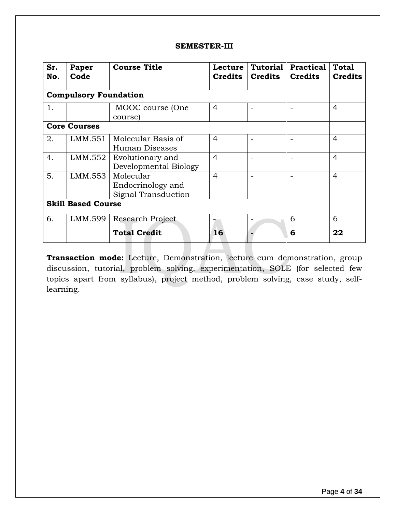#### **SEMESTER-III**

| Sr.<br>No.                   | Paper<br>Code | <b>Course Title</b>                                   | Lecture<br><b>Credits</b> | <b>Tutorial</b><br><b>Credits</b> | Practical<br><b>Credits</b> | <b>Total</b><br><b>Credits</b> |
|------------------------------|---------------|-------------------------------------------------------|---------------------------|-----------------------------------|-----------------------------|--------------------------------|
| <b>Compulsory Foundation</b> |               |                                                       |                           |                                   |                             |                                |
| 1.                           |               | MOOC course (One<br>course)                           | $\overline{4}$            |                                   |                             | $\overline{4}$                 |
| <b>Core Courses</b>          |               |                                                       |                           |                                   |                             |                                |
| 2.                           | LMM.551       | Molecular Basis of<br>Human Diseases                  | 4                         |                                   |                             | 4                              |
| 4.                           | LMM.552       | Evolutionary and<br>Developmental Biology             | $\overline{4}$            |                                   |                             | $\overline{4}$                 |
| 5.                           | LMM.553       | Molecular<br>Endocrinology and<br>Signal Transduction | $\overline{4}$            |                                   |                             | $\overline{4}$                 |
| <b>Skill Based Course</b>    |               |                                                       |                           |                                   |                             |                                |
| 6.                           | LMM.599       | Research Project                                      |                           |                                   | 6                           | 6                              |
|                              |               | <b>Total Credit</b>                                   | 16                        |                                   | 6                           | 22                             |

**Transaction mode:** Lecture, Demonstration, lecture cum demonstration, group discussion, tutorial, problem solving, experimentation, SOLE (for selected few topics apart from syllabus), project method, problem solving, case study, selflearning.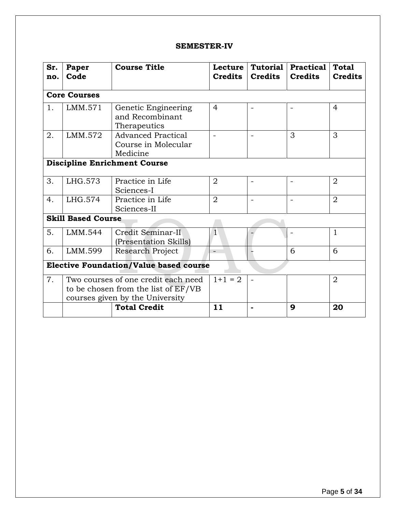#### **SEMESTER-IV**

| Sr.<br>no.                                    | Paper<br>Code       | <b>Course Title</b>                                                                                           | Lecture<br><b>Credits</b> | <b>Tutorial</b><br><b>Credits</b> | <b>Practical</b><br><b>Credits</b> | <b>Total</b><br><b>Credits</b> |
|-----------------------------------------------|---------------------|---------------------------------------------------------------------------------------------------------------|---------------------------|-----------------------------------|------------------------------------|--------------------------------|
|                                               | <b>Core Courses</b> |                                                                                                               |                           |                                   |                                    |                                |
| 1.                                            | LMM.571             | Genetic Engineering<br>and Recombinant<br>Therapeutics                                                        | $\overline{4}$            |                                   |                                    | $\overline{4}$                 |
| 2.                                            | LMM.572             | <b>Advanced Practical</b><br>Course in Molecular<br>Medicine                                                  |                           |                                   | 3                                  | 3                              |
| <b>Discipline Enrichment Course</b>           |                     |                                                                                                               |                           |                                   |                                    |                                |
| 3.                                            | LHG.573             | Practice in Life<br>Sciences-I                                                                                | 2                         |                                   |                                    | $\overline{2}$                 |
| 4.                                            | LHG.574             | Practice in Life<br>Sciences-II                                                                               | $\overline{2}$            |                                   |                                    | $\overline{2}$                 |
| <b>Skill Based Course</b>                     |                     |                                                                                                               |                           |                                   |                                    |                                |
| 5.                                            | LMM.544             | Credit Seminar-II<br>(Presentation Skills)                                                                    | $\mathbf{1}$              |                                   | $\overline{\phantom{a}}$           | $\mathbf{1}$                   |
| 6.                                            | LMM.599             | Research Project                                                                                              | $\equiv$                  |                                   | 6                                  | 6                              |
| <b>Elective Foundation/Value based course</b> |                     |                                                                                                               |                           |                                   |                                    |                                |
| 7.                                            |                     | Two courses of one credit each need<br>to be chosen from the list of EF/VB<br>courses given by the University | $1+1 = 2$                 |                                   |                                    | $\overline{2}$                 |
|                                               |                     | <b>Total Credit</b>                                                                                           | 11                        |                                   | 9                                  | 20                             |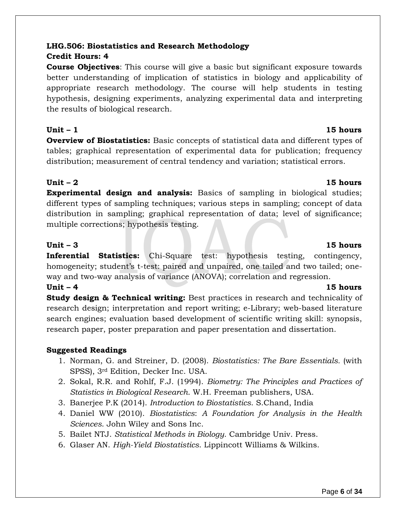## **LHG.506: Biostatistics and Research Methodology**

#### **Credit Hours: 4**

**Course Objectives**: This course will give a basic but significant exposure towards better understanding of implication of statistics in biology and applicability of appropriate research methodology. The course will help students in testing hypothesis, designing experiments, analyzing experimental data and interpreting the results of biological research.

#### **Unit – 1 15 hours**

**Overview of Biostatistics:** Basic concepts of statistical data and different types of tables; graphical representation of experimental data for publication; frequency distribution; measurement of central tendency and variation; statistical errors.

**Experimental design and analysis:** Basics of sampling in biological studies; different types of sampling techniques; various steps in sampling; concept of data distribution in sampling; graphical representation of data; level of significance; multiple corrections; hypothesis testing.

#### **Unit – 3 15 hours**

**Inferential Statistics:** Chi-Square test: hypothesis testing, contingency, homogeneity; student's t-test: paired and unpaired, one tailed and two tailed; oneway and two-way analysis of variance (ANOVA); correlation and regression.

#### **Unit – 4 15 hours**

**Study design & Technical writing:** Best practices in research and technicality of research design; interpretation and report writing; e-Library; web-based literature search engines; evaluation based development of scientific writing skill: synopsis, research paper, poster preparation and paper presentation and dissertation.

### **Suggested Readings**

- 1. Norman, G. and Streiner, D. (2008). *Biostatistics: The Bare Essentials.* (with SPSS), 3rd Edition, Decker Inc. USA.
- 2. Sokal, R.R. and Rohlf, F.J. (1994). *Biometry: The Principles and Practices of Statistics in Biological Research*. W.H. Freeman publishers, USA.
- 3. Banerjee P.K (2014). *Introduction to Biostatistics*. S.Chand, India
- 4. Daniel WW (2010). *Biostatistics*: *A Foundation for Analysis in the Health Sciences*. John Wiley and Sons Inc.
- 5. Bailet NTJ. *Statistical Methods in Biology*. Cambridge Univ. Press.
- 6. Glaser AN. *High-Yield Biostatistics*. Lippincott Williams & Wilkins.

# **Unit – 2 15 hours**

#### Page **6** of **34**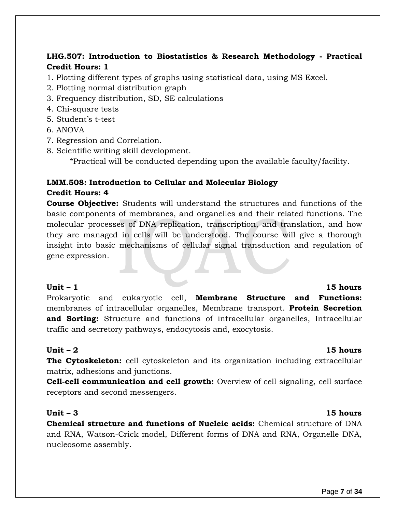### **LHG.507: Introduction to Biostatistics & Research Methodology - Practical Credit Hours: 1**

- 1. Plotting different types of graphs using statistical data, using MS Excel.
- 2. Plotting normal distribution graph
- 3. Frequency distribution, SD, SE calculations
- 4. Chi-square tests
- 5. Student's t-test
- 6. ANOVA
- 7. Regression and Correlation.
- 8. Scientific writing skill development.

\*Practical will be conducted depending upon the available faculty/facility.

### **LMM.508: Introduction to Cellular and Molecular Biology Credit Hours: 4**

**Course Objective:** Students will understand the structures and functions of the basic components of membranes, and organelles and their related functions. The molecular processes of DNA replication, transcription, and translation, and how they are managed in cells will be understood. The course will give a thorough insight into basic mechanisms of cellular signal transduction and regulation of gene expression.

#### **Unit – 1 15 hours**

Prokaryotic and eukaryotic cell, **Membrane Structure and Functions:** membranes of intracellular organelles, Membrane transport. **Protein Secretion and Sorting:** Structure and functions of intracellular organelles, Intracellular traffic and secretory pathways, endocytosis and, exocytosis.

#### **Unit – 2 15 hours**

**The Cytoskeleton:** cell cytoskeleton and its organization including extracellular matrix, adhesions and junctions.

**Cell-cell communication and cell growth:** Overview of cell signaling, cell surface receptors and second messengers.

#### **Unit – 3 15 hours**

**Chemical structure and functions of Nucleic acids:** Chemical structure of DNA and RNA, Watson-Crick model, Different forms of DNA and RNA, Organelle DNA, nucleosome assembly.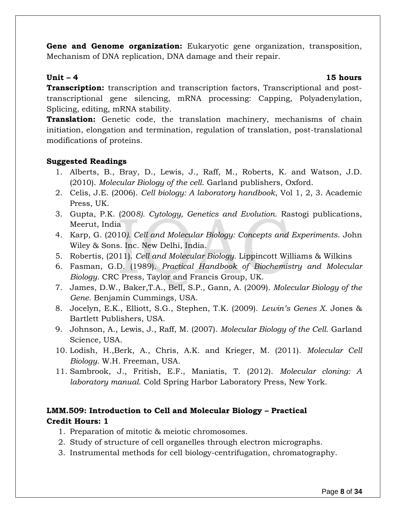**Gene and Genome organization:** Eukaryotic gene organization, transposition, Mechanism of DNA replication, DNA damage and their repair.

#### **Unit – 4 15 hours**

**Transcription:** transcription and transcription factors, Transcriptional and posttranscriptional gene silencing, mRNA processing: Capping, Polyadenylation, Splicing, editing, mRNA stability.

**Translation:** Genetic code, the translation machinery, mechanisms of chain initiation, elongation and termination, regulation of translation, post-translational modifications of proteins.

#### **Suggested Readings**

- 1. Alberts, B., Bray, D., Lewis, J., Raff, M., Roberts, K. and Watson, J.D. (2010). *Molecular Biology of the cell*. Garland publishers, Oxford.
- 2. Celis, J.E. (2006). *Cell biology: A laboratory handbook*, Vol 1, 2, 3. Academic Press, UK.
- 3. Gupta, P.K. (200*8). Cytology, Genetics and Evolution*. Rastogi publications, Meerut, India
- 4. Karp, G. (2010*). Cell and Molecular Biology: Concepts and Experiments*. John Wiley & Sons. Inc. New Delhi, India.
- 5. Robertis, (2011). *Cell and Molecular Biology*. Lippincott Williams & Wilkins
- 6. Fasman, G.D. (1989). *Practical Handbook of Biochemistry and Molecular Biology*. CRC Press, Taylor and Francis Group, UK.
- 7. James, D.W., Baker,T.A., Bell, S.P., Gann, A. (2009). *Molecular Biology of the Gene*. Benjamin Cummings, USA.
- 8. Jocelyn, E.K., Elliott, S.G., Stephen, T.K. (2009). *Lewin's Genes X.* Jones & Bartlett Publishers, USA.
- 9. Johnson, A., Lewis, J., Raff, M. (2007). *Molecular Biology of the Cell*. Garland Science, USA.
- 10. [Lodish,](http://www.amazon.com/Harvey-Lodish/e/B000APJECU/ref=sr_ntt_srch_lnk_1?qid=1311422122&sr=1-1) [H.](http://www.amazon.com/Harvey-Lodish/e/B000APJECU/ref=sr_ntt_srch_lnk_1?qid=1311422122&sr=1-1),Berk, A., Chris, A.K. and Krieger, M. (2011). *Molecular Cell Biology*. W.H. Freeman, USA.
- 11. Sambrook, J., Fritish, E.F., Maniatis, T. (2012). *Molecular cloning: A laboratory manual*. Cold Spring Harbor Laboratory Press, New York.

### **LMM.509: Introduction to Cell and Molecular Biology – Practical Credit Hours: 1**

- 1. Preparation of mitotic & meiotic chromosomes.
- 2. Study of structure of cell organelles through electron micrographs.
- 3. Instrumental methods for cell biology-centrifugation, chromatography.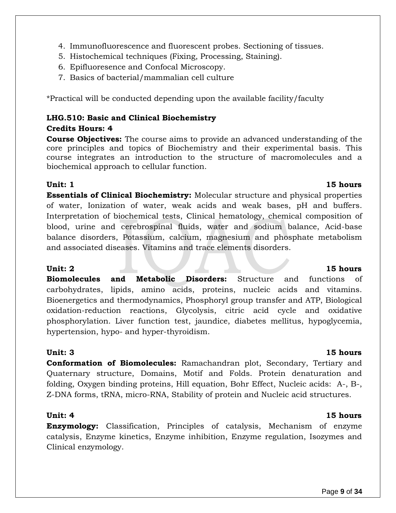- 4. Immunofluorescence and fluorescent probes. Sectioning of tissues.
- 5. Histochemical techniques (Fixing, Processing, Staining).
- 6. Epifluoresence and Confocal Microscopy.
- 7. Basics of bacterial/mammalian cell culture

\*Practical will be conducted depending upon the available facility/faculty

### **LHG.510: Basic and Clinical Biochemistry**

### **Credits Hours: 4**

**Course Objectives:** The course aims to provide an advanced understanding of the core principles and topics of Biochemistry and their experimental basis. This course integrates an introduction to the structure of macromolecules and a biochemical approach to cellular function.

**Essentials of Clinical Biochemistry:** Molecular structure and physical properties of water, Ionization of water, weak acids and weak bases, pH and buffers. Interpretation of biochemical tests, Clinical hematology, chemical composition of blood, urine and cerebrospinal fluids, water and sodium balance, Acid-base balance disorders, Potassium, calcium, magnesium and phosphate metabolism and associated diseases. Vitamins and trace elements disorders.

**Biomolecules and Metabolic Disorders:** Structure and functions of carbohydrates, lipids, amino acids, proteins, nucleic acids and vitamins. Bioenergetics and thermodynamics, Phosphoryl group transfer and ATP, Biological oxidation-reduction reactions, Glycolysis, citric acid cycle and oxidative phosphorylation. Liver function test, jaundice, diabetes mellitus, hypoglycemia, hypertension, hypo- and hyper-thyroidism.

### **Unit: 3 15 hours**

**Conformation of Biomolecules:** Ramachandran plot, Secondary, Tertiary and Quaternary structure, Domains, Motif and Folds. Protein denaturation and folding, Oxygen binding proteins, Hill equation, Bohr Effect, Nucleic acids: A-, B-, Z-DNA forms, tRNA, micro-RNA, Stability of protein and Nucleic acid structures.

**Enzymology:** Classification, Principles of catalysis, Mechanism of enzyme catalysis, Enzyme kinetics, Enzyme inhibition, Enzyme regulation, Isozymes and Clinical enzymology.

### **Unit:** 2 15 hours

### **Unit: 4 15 hours**

### **Unit: 1 15 hours**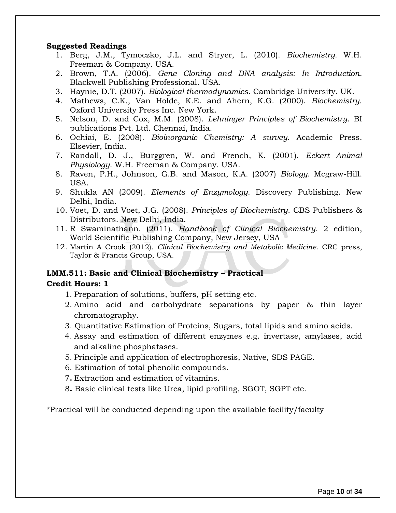#### **Suggested Readings**

- 1. Berg, J.M., Tymoczko, J.L. and Stryer, L. (2010). *Biochemistry.* W.H. Freeman & Company. USA.
- 2. Brown, T.A. (2006). *Gene Cloning and DNA analysis: In Introduction*. Blackwell Publishing Professional. USA.
- 3. Haynie, D.T. (2007). *Biological thermodynamics*. Cambridge University. UK.
- 4. Mathews, C.K., Van Holde, K.E. and Ahern, K.G. (2000). *Biochemistry*. Oxford University Press Inc. New York.
- 5. Nelson, D. and Cox, M.M. (2008). *Lehninger Principles of Biochemistry*. BI publications Pvt. Ltd. Chennai, India.
- 6. Ochiai, E. (2008). *Bioinorganic Chemistry: A survey.* Academic Press. Elsevier, India.
- 7. Randall, D. J., Burggren, W. and French, K. (2001). *Eckert Animal Physiology*. W.H. Freeman & Company. USA.
- 8. Raven, P.H., Johnson, G.B. and Mason, K.A. (2007) *Biology*. Mcgraw-Hill. USA.
- 9. Shukla AN (2009). *Elements of Enzymology.* Discovery Publishing. New Delhi, India.
- 10. Voet, D. and Voet, J.G. (2008). *Principles of Biochemistry*. CBS Publishers & Distributors. New Delhi, India.
- 11. R Swaminathann. (2011). *Handbook of Clinical Biochemistry*. 2 edition, World Scientific Publishing Company, New Jersey, USA
- 12. Martin A Crook (2012). *Clinical Biochemistry and Metabolic Medicine*. CRC press, Taylor & Francis Group, USA.

### **LMM.511: Basic and Clinical Biochemistry – Practical**

#### **Credit Hours: 1**

- 1. Preparation of solutions, buffers, pH setting etc.
- 2. Amino acid and carbohydrate separations by paper & thin layer chromatography.
- 3. Quantitative Estimation of Proteins, Sugars, total lipids and amino acids.
- 4. Assay and estimation of different enzymes e.g. invertase, amylases, acid and alkaline phosphatases.
- 5. Principle and application of electrophoresis, Native, SDS PAGE.
- 6. Estimation of total phenolic compounds.
- 7**.** Extraction and estimation of vitamins.
- 8**.** Basic clinical tests like Urea, lipid profiling, SGOT, SGPT etc.

\*Practical will be conducted depending upon the available facility/faculty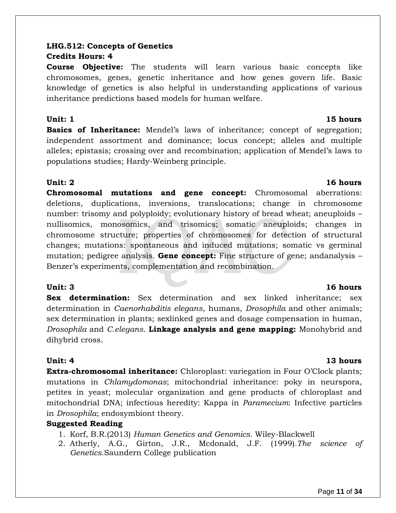### **LHG.512: Concepts of Genetics Credits Hours: 4**

**Course Objective:** The students will learn various basic concepts like chromosomes, genes, genetic inheritance and how genes govern life. Basic knowledge of genetics is also helpful in understanding applications of various inheritance predictions based models for human welfare.

#### **Unit: 1 15 hours**

**Basics of Inheritance:** Mendel's laws of inheritance; concept of segregation; independent assortment and dominance; locus concept; alleles and multiple alleles; epistasis; crossing over and recombination; application of Mendel's laws to populations studies; Hardy-Weinberg principle.

### **Unit: 2 16 hours**

**Chromosomal mutations and gene concept:** Chromosomal aberrations: deletions, duplications, inversions, translocations; change in chromosome number: trisomy and polyploidy; evolutionary history of bread wheat; aneuploids – nullisomics, monosomics, and trisomics; somatic aneuploids; changes in chromosome structure; properties of chromosomes for detection of structural changes; mutations: spontaneous and induced mutations; somatic vs germinal mutation; pedigree analysis. **Gene concept:** Fine structure of gene; andanalysis – Benzer's experiments, complementation and recombination.

### **Unit: 3 16 hours**

**Sex determination:** Sex determination and sex linked inheritance; sex determination in *Caenorhabditis elegans*, humans, *Drosophila* and other animals; sex determination in plants; sexlinked genes and dosage compensation in human, *Drosophila* and *C.elegans*. **Linkage analysis and gene mapping:** Monohybrid and dihybrid cross.

### **Unit: 4 13 hours**

**Extra-chromosomal inheritance:** Chloroplast: variegation in Four O'Clock plants; mutations in *Chlamydomonas*; mitochondrial inheritance: poky in neurspora, petites in yeast; molecular organization and gene products of chloroplast and mitochondrial DNA; infectious heredity: Kappa in *Paramecium*: Infective particles in *Drosophila*; endosymbiont theory.

### **Suggested Reading**

- 1. Korf, B.R.(2013) *Human Genetics and Genomics*. Wiley-Blackwell
- 2. Atherly, A.G., Girton, J.R., Mcdonald, J.F. (1999).*The science of Genetics*.Saundern College publication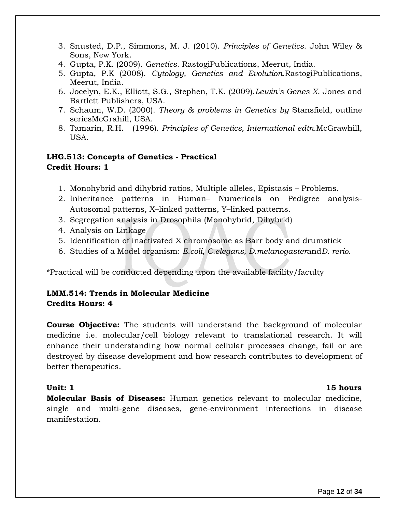- 3. Snusted, D.P., Simmons, M. J. (2010). *Principles of Genetics*. John Wiley & Sons, New York.
- 4. Gupta, P.K. (2009). *Genetics*. RastogiPublications, Meerut, India.
- 5. Gupta, P.K (2008). *Cytology, Genetics and Evolution.*RastogiPublications, Meerut, India.
- 6. Jocelyn, E.K., Elliott, S.G., Stephen, T.K. (2009).*Lewin's Genes X*. Jones and Bartlett Publishers, USA.
- 7. Schaum, W.D. (2000). *Theory & problems in Genetics by* Stansfield, outline seriesMcGrahill, USA.
- 8. Tamarin, R.H. (1996). *Principles of Genetics, International edtn.*McGrawhill, USA.

### **LHG.513: Concepts of Genetics - Practical Credit Hours: 1**

- 1. Monohybrid and dihybrid ratios, Multiple alleles, Epistasis Problems.
- 2. Inheritance patterns in Human– Numericals on Pedigree analysis-Autosomal patterns, X–linked patterns, Y–linked patterns.
- 3. Segregation analysis in Drosophila (Monohybrid, Dihybrid)
- 4. Analysis on Linkage
- 5. Identification of inactivated X chromosome as Barr body and drumstick
- 6. Studies of a Model organism: *E.coli*, *C.elegans, D.melanogaster*and*D. rerio*.

\*Practical will be conducted depending upon the available facility/faculty

#### **LMM.514: Trends in Molecular Medicine Credits Hours: 4**

**Course Objective:** The students will understand the background of molecular medicine i.e. molecular/cell biology relevant to translational research. It will enhance their understanding how normal cellular processes change, fail or are destroyed by disease development and how research contributes to development of better therapeutics.

#### **Unit: 1 15 hours**

**Molecular Basis of Diseases:** Human genetics relevant to molecular medicine, single and multi-gene diseases, gene-environment interactions in disease manifestation.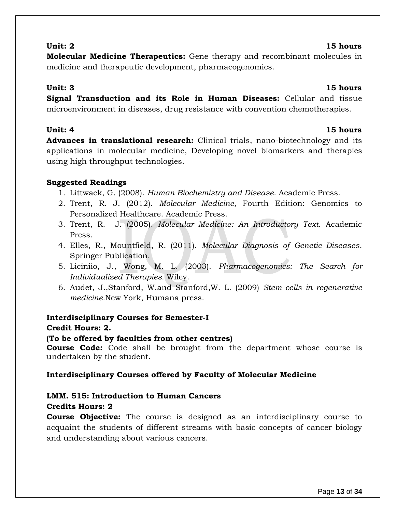#### **Unit: 2 15 hours**

**Molecular Medicine Therapeutics:** Gene therapy and recombinant molecules in medicine and therapeutic development, pharmacogenomics.

### **Unit: 3 15 hours**

**Signal Transduction and its Role in Human Diseases:** Cellular and tissue microenvironment in diseases, drug resistance with convention chemotherapies.

**Advances in translational research:** Clinical trials, nano-biotechnology and its applications in molecular medicine, Developing novel biomarkers and therapies using high throughput technologies.

### **Suggested Readings**

- 1. Littwack, G. (2008). *Human Biochemistry and Disease*. Academic Press.
- 2. Trent, R. J. (2012). *Molecular Medicine,* Fourth Edition: Genomics to Personalized Healthcare. Academic Press.
- 3. Trent, R. J. (2005). *Molecular Medicine: An Introductory Text*. Academic Press.
- 4. Elles, R., Mountfield, R. (2011). *Molecular Diagnosis of Genetic Diseases*. Springer Publication.
- 5. Liciniio, J., Wong, M. L. (2003). *Pharmacogenomics: The Search for Individualized Therapies.* Wiley.
- 6. [Audet, J.,](http://cupserver4/W27/Result/w27AcptRslt.aspx?AID=1483&xF=T&xD=0)[Stanford, W.a](http://cupserver4/W27/Result/w27AcptRslt.aspx?AID=1488&xF=T&xD=0)nd [Stanford,W. L.](http://cupserver4/W27/Result/w27AcptRslt.aspx?AID=1495&xF=T&xD=0) (2009) *Stem cells in regenerative medicine.*[New York,](http://cupserver4/W27/Result/w27AcptRslt.aspx?AID=42&xF=T&xD=0) [Humana press.](http://cupserver4/W27/Result/w27AcptRslt.aspx?AID=386&xF=T&xD=0)

# **Interdisciplinary Courses for Semester-I**

### **Credit Hours: 2.**

### **(To be offered by faculties from other centres)**

**Course Code:** Code shall be brought from the department whose course is undertaken by the student.

### **Interdisciplinary Courses offered by Faculty of Molecular Medicine**

# **LMM. 515: Introduction to Human Cancers**

### **Credits Hours: 2**

**Course Objective:** The course is designed as an interdisciplinary course to acquaint the students of different streams with basic concepts of cancer biology and understanding about various cancers.

### **Unit: 4 15 hours**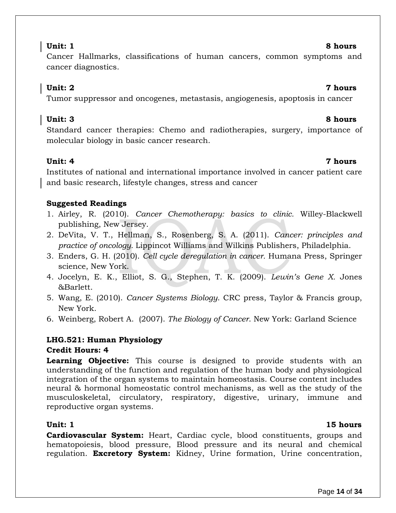Cancer Hallmarks, classifications of human cancers, common symptoms and cancer diagnostics.

### **Unit: 2 7 hours**

Tumor suppressor and oncogenes, metastasis, angiogenesis, apoptosis in cancer

### **Unit: 3 8 hours**

Standard cancer therapies: Chemo and radiotherapies, surgery, importance of molecular biology in basic cancer research.

#### **Unit: 4 7 hours**

Institutes of national and international importance involved in cancer patient care and basic research, lifestyle changes, stress and cancer

### **Suggested Readings**

- 1. Airley, R. (2010). *Cancer Chemotherapy: basics to clinic.* Willey-Blackwell publishing, New Jersey.
- 2. DeVita, V. T., Hellman, S., Rosenberg, S. A. (2011). *Cancer: principles and practice of oncology.* Lippincot Williams and Wilkins Publishers, Philadelphia.
- 3. Enders, G. H. (2010). *Cell cycle deregulation in cancer.* Humana Press, Springer science, New York.
- 4. Jocelyn, E. K., Elliot, S. G., Stephen, T. K. (2009). *Lewin's Gene X.* Jones &Barlett.
- 5. Wang, E. (2010). *Cancer Systems Biology*. CRC press, Taylor & Francis group, New York.
- 6. Weinberg, Robert A. (2007). *The Biology of Cancer*. New York: Garland Science

#### **LHG.521: Human Physiology Credit Hours: 4**

**Learning Objective:** This course is designed to provide students with an understanding of the function and regulation of the human body and physiological integration of the organ systems to maintain homeostasis. Course content includes neural & hormonal homeostatic control mechanisms, as well as the study of the musculoskeletal, circulatory, respiratory, digestive, urinary, immune and reproductive organ systems.

### **Unit: 1 15 hours**

**Cardiovascular System:** Heart, Cardiac cycle, blood constituents, groups and hematopoiesis, blood pressure, Blood pressure and its neural and chemical regulation. **Excretory System:** Kidney, Urine formation, Urine concentration,

# **Unit: 1 8 hours**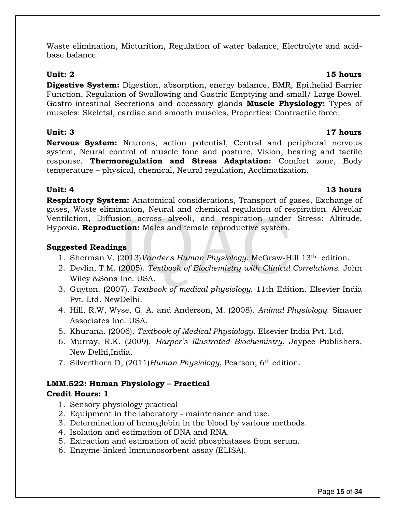Waste elimination, Micturition, Regulation of water balance, Electrolyte and acidbase balance.

**Digestive System:** Digestion, absorption, energy balance, BMR, Epithelial Barrier Function, Regulation of Swallowing and Gastric Emptying and small/ Large Bowel. Gastro-intestinal Secretions and accessory glands **Muscle Physiology:** Types of muscles: Skeletal, cardiac and smooth muscles, Properties; Contractile force.

### **Unit: 3 17 hours**

**Nervous System:** Neurons, action potential, Central and peripheral nervous system, Neural control of muscle tone and posture, Vision, hearing and tactile response. **Thermoregulation and Stress Adaptation:** Comfort zone, Body temperature – physical, chemical, Neural regulation, Acclimatization.

**Respiratory System:** Anatomical considerations, Transport of gases, Exchange of gases, Waste elimination, Neural and chemical regulation of respiration. Alveolar Ventilation, Diffusion across alveoli, and respiration under Stress: Altitude, Hypoxia. **Reproduction:** Males and female reproductive system.

### **Suggested Readings**

- 1. Sherman V. (2013)*Vander's Human Physiology*. McGraw-Hill 13th edition.
- 2. Devlin, T.M. (2005). *Textbook of Biochemistry with Clinical Correlations*. John Wiley &Sons Inc. USA.
- 3. Guyton. (2007). *Textbook of medical physiology*. 11th Edition. Elsevier India Pvt. Ltd. NewDelhi.
- 4. Hill, R.W, Wyse, G. A. and Anderson, M. (2008). *Animal Physiology*. Sinauer Associates Inc. USA.
- 5. Khurana. (2006). *Textbook of Medical Physiology*. Elsevier India Pvt. Ltd.
- 6. Murray, R.K. (2009). *Harper's Illustrated Biochemistry*. Jaypee Publishers, New Delhi,India.
- 7. Silverthorn D, (2011)*Human Physiology*, Pearson; 6th edition.

# **LMM.522: Human Physiology – Practical**

### **Credit Hours: 1**

- 1. Sensory physiology practical
- 2. Equipment in the laboratory maintenance and use.
- 3. Determination of hemoglobin in the blood by various methods.
- 4. Isolation and estimation of DNA and RNA.
- 5. Extraction and estimation of acid phosphatases from serum.
- 6. Enzyme-linked Immunosorbent assay (ELISA).

### **Unit: 2 15 hours**

# **Unit: 4 13 hours**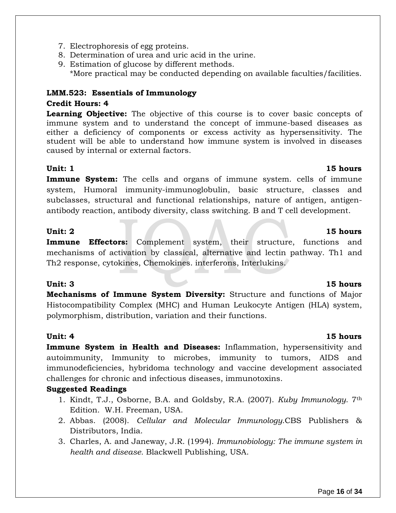- 7. Electrophoresis of egg proteins.
- 8. Determination of urea and uric acid in the urine.
- 9. Estimation of glucose by different methods. \*More practical may be conducted depending on available faculties/facilities.

### **LMM.523: Essentials of Immunology Credit Hours: 4**

**Learning Objective:** The objective of this course is to cover basic concepts of immune system and to understand the concept of immune-based diseases as either a deficiency of components or excess activity as hypersensitivity. The student will be able to understand how immune system is involved in diseases caused by internal or external factors.

#### **Unit: 1 15 hours**

**Immune System:** The cells and organs of immune system. cells of immune system, Humoral immunity-immunoglobulin, basic structure, classes and subclasses, structural and functional relationships, nature of antigen, antigenantibody reaction, antibody diversity, class switching. B and T cell development.

#### **Unit: 2 15 hours**

**Immune Effectors:** Complement system, their structure, functions and mechanisms of activation by classical, alternative and lectin pathway. Th1 and Th2 response, cytokines, Chemokines. interferons, Interlukins.

**Mechanisms of Immune System Diversity:** Structure and functions of Major Histocompatibility Complex (MHC) and Human Leukocyte Antigen (HLA) system, polymorphism, distribution, variation and their functions.

**Immune System in Health and Diseases:** Inflammation, hypersensitivity and autoimmunity, Immunity to microbes, immunity to tumors, AIDS and immunodeficiencies, hybridoma technology and vaccine development associated challenges for chronic and infectious diseases, immunotoxins.

#### **Suggested Readings**

- 1. Kindt, T.J., Osborne, B.A. and Goldsby, R.A. (2007). *Kuby Immunology*. 7th Edition. W.H. Freeman, USA.
- 2. Abbas. (2008). *Cellular and Molecular Immunology*.CBS Publishers & Distributors, India.
- 3. Charles, A. and Janeway, J.R. (1994). *Immunobiology: The immune system in health and disease.* Blackwell Publishing, USA.

#### **Unit: 3 15 hours**

#### **Unit: 4 15 hours**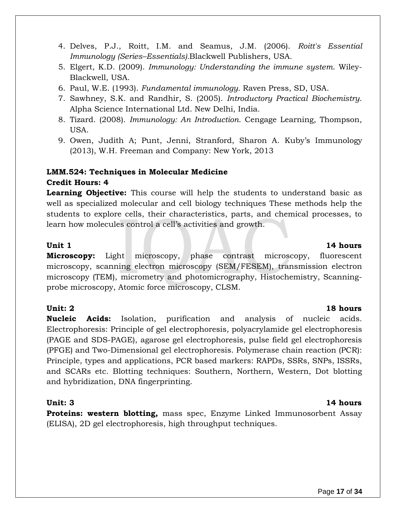- 
- (2013), W.H. Freeman and Company: New York, 2013

### **LMM.524: Techniques in Molecular Medicine Credit Hours: 4**

Blackwell, USA.

**Learning Objective:** This course will help the students to understand basic as well as specialized molecular and cell biology techniques These methods help the students to explore cells, their characteristics, parts, and chemical processes, to learn how molecules control a cell's activities and growth.

#### **Unit 1 14 hours**

**Microscopy:** Light microscopy, phase contrast microscopy, fluorescent microscopy, scanning electron microscopy (SEM/FESEM), transmission electron microscopy (TEM), micrometry and photomicrography, Histochemistry, Scanningprobe microscopy, Atomic force microscopy, CLSM.

#### **Unit: 2 18 hours**

**Nucleic Acids:** Isolation, purification and analysis of nucleic acids. Electrophoresis: Principle of gel electrophoresis, polyacrylamide gel electrophoresis (PAGE and SDS-PAGE), agarose gel electrophoresis, pulse field gel electrophoresis (PFGE) and Two-Dimensional gel electrophoresis. Polymerase chain reaction (PCR): Principle, types and applications, PCR based markers: RAPDs, SSRs, SNPs, ISSRs, and SCARs etc. Blotting techniques: Southern, Northern, Western, Dot blotting and hybridization, DNA fingerprinting.

**Proteins: western blotting,** mass spec, Enzyme Linked Immunosorbent Assay (ELISA), 2D gel electrophoresis, high throughput techniques.

# 6. Paul, W.E. (1993). *Fundamental immunology.* Raven Press, SD, USA.

7. Sawhney, S.K. and Randhir, S. (2005). *Introductory Practical Biochemistry*. Alpha Science International Ltd. New Delhi, India.

4. Delves, P.J., Roitt, I.M. and Seamus, J.M. (2006). *Roitt's Essential* 

5. Elgert, K.D. (2009). *Immunology: Understanding the immune system*. Wiley-

*Immunology (Series–Essentials).*Blackwell Publishers, USA.

- 8. Tizard. (2008). *Immunology: An Introduction*. Cengage Learning, Thompson, USA.
- 9. Owen, Judith A; Punt, Jenni, Stranford, Sharon A. Kuby's Immunology

#### **Unit: 3 14 hours**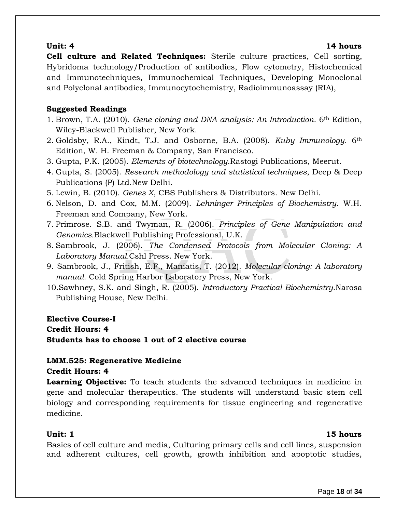#### **Unit: 4 14 hours**

**Cell culture and Related Techniques:** Sterile culture practices, Cell sorting, Hybridoma technology/Production of antibodies, Flow cytometry, Histochemical and Immunotechniques, Immunochemical Techniques, Developing Monoclonal and Polyclonal antibodies, Immunocytochemistry, Radioimmunoassay (RIA),

### **Suggested Readings**

- 1. Brown, T.A. (2010). *Gene cloning and DNA analysis: An Introduction*. 6th Edition, Wiley-Blackwell Publisher, New York.
- 2. Goldsby, R.A., Kindt, T.J. and Osborne, B.A. (2008). *Kuby Immunology.* 6th Edition, W. H. Freeman & Company, San Francisco.
- 3. Gupta, P.K. (2005). *Elements of biotechnology*.Rastogi Publications, Meerut.
- 4. Gupta, S. (2005). *Research methodology and statistical techniques*, Deep & Deep Publications (P) Ltd.New Delhi.
- 5. Lewin, B. (2010). *Genes X*, CBS Publishers & Distributors. New Delhi.
- 6. Nelson, D. and Cox, M.M. (2009). *Lehninger Principles of Biochemistry*. W.H. Freeman and Company, New York.
- 7. Primrose. S.B. and Twyman, R. (2006). *Principles of Gene Manipulation and Genomics.*Blackwell Publishing Professional, U.K.
- 8. Sambrook, J. (2006). *The Condensed Protocols from Molecular Cloning: A Laboratory Manual.*Cshl Press. New York.
- 9. Sambrook, J., Fritish, E.F., Maniatis, T. (2012). *Molecular cloning: A laboratory manual*. Cold Spring Harbor Laboratory Press, New York.
- 10.Sawhney, S.K. and Singh, R. (2005). *Introductory Practical Biochemistry*.Narosa Publishing House, New Delhi.

**Elective Course-I Credit Hours: 4 Students has to choose 1 out of 2 elective course**

#### **LMM.525: Regenerative Medicine Credit Hours: 4**

**Learning Objective:** To teach students the advanced techniques in medicine in gene and molecular therapeutics. The students will understand basic stem cell biology and corresponding requirements for tissue engineering and regenerative medicine.

#### **Unit:** 1 **15 hours**

Basics of cell culture and media, Culturing primary cells and cell lines, suspension and adherent cultures, cell growth, growth inhibition and apoptotic studies,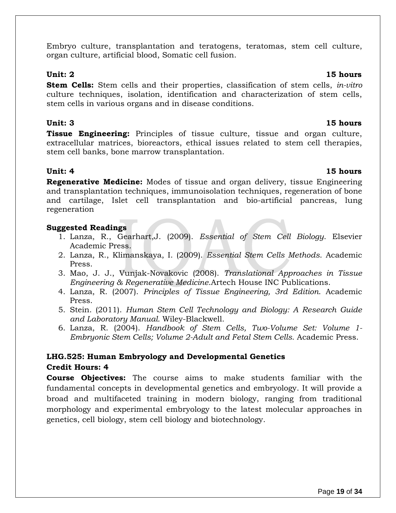Embryo culture, transplantation and teratogens, teratomas, stem cell culture, organ culture, artificial blood, Somatic cell fusion.

**Stem Cells:** Stem cells and their properties, classification of stem cells, *in-vitro*  culture techniques, isolation, identification and characterization of stem cells, stem cells in various organs and in disease conditions.

#### **Unit: 3 15 hours**

**Tissue Engineering:** Principles of tissue culture, tissue and organ culture, extracellular matrices, bioreactors, ethical issues related to stem cell therapies, stem cell banks, bone marrow transplantation.

**Regenerative Medicine:** Modes of tissue and organ delivery, tissue Engineering and transplantation techniques, immunoisolation techniques, regeneration of bone and cartilage, Islet cell transplantation and bio-artificial pancreas, lung regeneration

#### **Suggested Readings**

- 1. Lanza, R., Gearhart,J. (2009). *Essential of Stem Cell Biology*. Elsevier Academic Press.
- 2. Lanza, R., Klimanskaya, I. (2009). *Essential Stem Cells Methods*. Academic Press.
- 3. Mao, J. J., Vunjak-Novakovic (2008). *Translational Approaches in Tissue Engineering & Regenerative Medicine*.Artech House INC Publications.
- 4. Lanza, R. (2007). *Principles of Tissue Engineering, 3rd Edition*. Academic Press.
- 5. Stein. (2011). *Human Stem Cell Technology and Biology: A Research Guide and Laboratory Manual.* Wiley-Blackwell.
- 6. Lanza, R. (2004). *Handbook of Stem Cells, Two-Volume Set: Volume 1- Embryonic Stem Cells; Volume 2-Adult and Fetal Stem Cells*. Academic Press.

### **LHG.525: Human Embryology and Developmental Genetics Credit Hours: 4**

**Course Objectives:** The course aims to make students familiar with the fundamental concepts in developmental genetics and embryology. It will provide a broad and multifaceted training in modern biology, ranging from traditional morphology and experimental embryology to the latest molecular approaches in genetics, cell biology, stem cell biology and biotechnology.

#### **Unit: 2 15 hours**

# **Unit: 4 15 hours**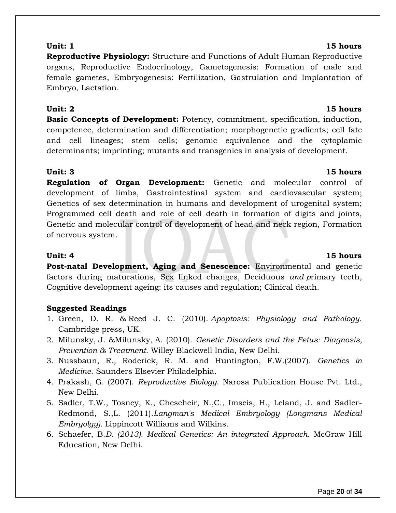**Reproductive Physiology:** Structure and Functions of Adult Human Reproductive organs, Reproductive Endocrinology, Gametogenesis: Formation of male and female gametes, Embryogenesis: Fertilization, Gastrulation and Implantation of Embryo, Lactation.

**Basic Concepts of Development:** Potency, commitment, specification, induction, competence, determination and differentiation; morphogenetic gradients; cell fate and cell lineages; stem cells; genomic equivalence and the cytoplamic determinants; imprinting; mutants and transgenics in analysis of development.

### **Unit: 3 15 hours**

**Regulation of Organ Development:** Genetic and molecular control of development of limbs, Gastrointestinal system and cardiovascular system; Genetics of sex determination in humans and development of urogenital system; Programmed cell death and role of cell death in formation of digits and joints, Genetic and molecular control of development of head and neck region, Formation of nervous system.

**Post-natal Development, Aging and Senescence:** Environmental and genetic factors during maturations, Sex linked changes*,* Deciduous *and p*rimary teeth, Cognitive development ageing: its causes and regulation; Clinical death.

### **Suggested Readings**

- 1. [Green,](http://www.amazon.com/s/ref=ntt_athr_dp_sr_1?_encoding=UTF8&field-author=Douglas%20R.%20Green&ie=UTF8&search-alias=books&sort=relevancerank) D. R. & [Reed](http://www.amazon.com/s/ref=ntt_athr_dp_sr_2?_encoding=UTF8&field-author=John%20C.%20Reed&ie=UTF8&search-alias=books&sort=relevancerank) J. C. (2010). *Apoptosis: Physiology and Pathology*. Cambridge press, UK.
- 2. [Milunsky,](http://www.amazon.com/s/ref=ntt_athr_dp_sr_2?_encoding=UTF8&field-author=Jeff%20Milunsky&ie=UTF8&search-alias=books&sort=relevancerank) J. [&Milunsky,](http://www.amazon.com/s/ref=ntt_athr_dp_sr_2?_encoding=UTF8&field-author=Jeff%20Milunsky&ie=UTF8&search-alias=books&sort=relevancerank) A. (2010). *Genetic Disorders and the Fetus: Diagnosis, Prevention & Treatment*. Willey Blackwell India, New Delhi.
- 3. Nussbaun, R., Roderick, R. M. and Huntington, F.W.(2007). *Genetics in Medicine*. Saunders Elsevier Philadelphia.
- 4. Prakash, G. (2007). *Reproductive Biology*. Narosa Publication House Pvt. Ltd., New Delhi.
- 5. Sadler, T.W., Tosney, K., Chescheir, N.,C., Imseis, H., Leland, J. and Sadler-Redmond, S.,L. (2011).*Langman's Medical Embryology (Longmans Medical Embryolgy).* Lippincott Williams and Wilkins.
- 6. Schaefer, B.*D. (2013). Medical Genetics: An integrated Approach.* McGraw Hill Education, New Delhi.

#### **Unit: 4 15 hours**

#### **Unit: 2 15 hours**

### **Unit: 1 15 hours**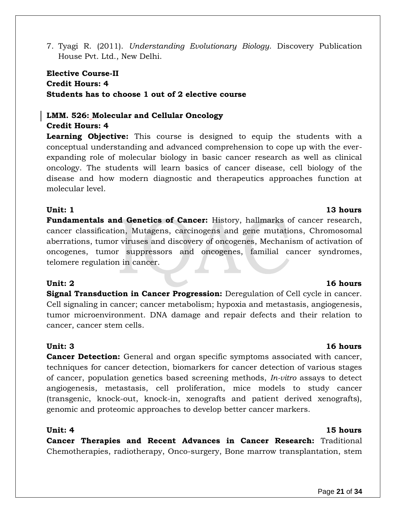7. Tyagi R. (2011). *Understanding Evolutionary Biology*. Discovery Publication House Pvt. Ltd., New Delhi.

### **Elective Course-II Credit Hours: 4 Students has to choose 1 out of 2 elective course**

### **LMM. 526: Molecular and Cellular Oncology**

#### **Credit Hours: 4**

**Learning Objective:** This course is designed to equip the students with a conceptual understanding and advanced comprehension to cope up with the everexpanding role of molecular biology in basic cancer research as well as clinical oncology. The students will learn basics of cancer disease, cell biology of the disease and how modern diagnostic and therapeutics approaches function at molecular level.

#### **Unit: 1 13 hours**

**Fundamentals and Genetics of Cancer:** History, hallmarks of cancer research, cancer classification, Mutagens, carcinogens and gene mutations, Chromosomal aberrations, tumor viruses and discovery of oncogenes, Mechanism of activation of oncogenes, tumor suppressors and oncogenes, familial cancer syndromes, telomere regulation in cancer.

**Signal Transduction in Cancer Progression:** Deregulation of Cell cycle in cancer. Cell signaling in cancer; cancer metabolism; hypoxia and metastasis, angiogenesis, tumor microenvironment. DNA damage and repair defects and their relation to cancer, cancer stem cells.

#### **Unit: 3 16 hours**

**Cancer Detection:** General and organ specific symptoms associated with cancer, techniques for cancer detection, biomarkers for cancer detection of various stages of cancer, population genetics based screening methods, *In-vitro* assays to detect angiogenesis, metastasis, cell proliferation, mice models to study cancer (transgenic, knock-out, knock-in, xenografts and patient derived xenografts), genomic and proteomic approaches to develop better cancer markers.

#### **Unit: 4 15 hours**

**Cancer Therapies and Recent Advances in Cancer Research:** Traditional Chemotherapies, radiotherapy, Onco-surgery, Bone marrow transplantation, stem

#### **Unit: 2 16 hours**

#### Page **21** of **34**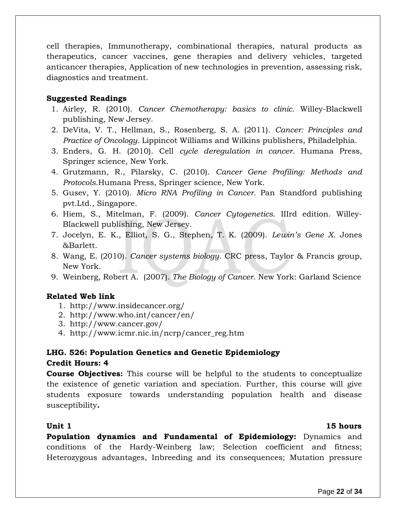cell therapies, Immunotherapy, combinational therapies, natural products as therapeutics, cancer vaccines, gene therapies and delivery vehicles, targeted anticancer therapies, Application of new technologies in prevention, assessing risk, diagnostics and treatment.

#### **Suggested Readings**

- 1. Airley, R. (2010). *Cancer Chemotherapy: basics to clinic.* Willey-Blackwell publishing, New Jersey.
- 2. DeVita, V. T., Hellman, S., Rosenberg, S. A. (2011). *Cancer: Principles and Practice of Oncology.* Lippincot Williams and Wilkins publishers, Philadelphia.
- 3. Enders, G. H. (2010). Cell *cycle deregulation in cancer.* Humana Press, Springer science, New York.
- 4. Grutzmann, R., Pilarsky, C. (2010). *Cancer Gene Profiling: Methods and Protocols*.Humana Press, Springer science, New York.
- 5. Gusev, Y. (2010). *Micro RNA Profiling in Cancer.* Pan Standford publishing pvt.Ltd., Singapore.
- 6. Hiem, S., Mitelman, F. (2009). *Cancer Cytogenetics*. IIIrd edition. Willey-Blackwell publishing, New Jersey.
- 7. Jocelyn, E. K., Elliot, S. G., Stephen, T. K. (2009). *Lewin's Gene X.* Jones &Barlett.
- 8. Wang, E. (2010). *Cancer systems biology*. CRC press, Taylor & Francis group, New York.
- 9. Weinberg, Robert A. (2007). *The Biology of Cancer*. New York: Garland Science

### **Related Web link**

- 1. <http://www.insidecancer.org/>
- 2. <http://www.who.int/cancer/en/>
- 3. <http://www.cancer.gov/>
- 4. [http://www.icmr.nic.in/ncrp/cancer\\_reg.htm](http://www.icmr.nic.in/ncrp/cancer_reg.htm)

### **LHG. 526: Population Genetics and Genetic Epidemiology Credit Hours: 4**

**Course Objectives:** This course will be helpful to the students to conceptualize the existence of genetic variation and speciation. Further, this course will give students exposure towards understanding population health and disease susceptibility*.* 

#### **Unit 1 15 hours**

**Population dynamics and Fundamental of Epidemiology:** Dynamics and conditions of the Hardy-Weinberg law; Selection coefficient and fitness; Heterozygous advantages, Inbreeding and its consequences; Mutation pressure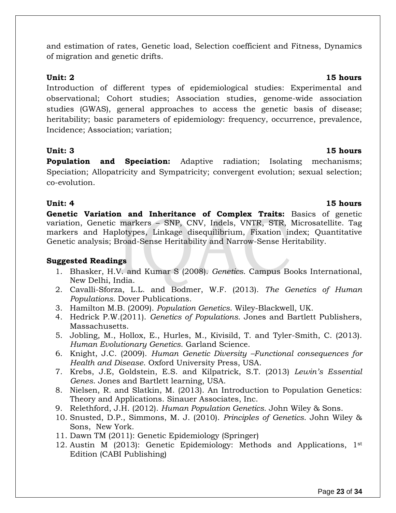and estimation of rates, Genetic load, Selection coefficient and Fitness, Dynamics of migration and genetic drifts.

Introduction of different types of epidemiological studies: Experimental and observational; Cohort studies; Association studies, genome-wide association studies (GWAS), general approaches to access the genetic basis of disease; heritability; basic parameters of epidemiology: frequency, occurrence, prevalence, Incidence; Association; variation;

#### **Unit: 3 15 hours**

**Population and Speciation:** Adaptive radiation; Isolating mechanisms; Speciation; Allopatricity and Sympatricity; convergent evolution; sexual selection; co-evolution.

**Genetic Variation and Inheritance of Complex Traits:** Basics of genetic variation, Genetic markers – SNP, CNV, Indels, VNTR, STR, Microsatellite. Tag markers and Haplotypes, Linkage disequilibrium, Fixation index; Quantitative Genetic analysis; Broad-Sense Heritability and Narrow-Sense Heritability.

#### **Suggested Readings**

- 1. Bhasker, H.V. and Kumar S (2008). *Genetics*. Campus Books International, New Delhi, India.
- 2. Cavalli-Sforza, L.L. and Bodmer, W.F. (2013). *The Genetics of Human Populations.* Dover Publications.
- 3. Hamilton M.B. (2009). *Population Genetics*. Wiley-Blackwell, UK.
- 4. Hedrick P.W.(2011). *Genetics of Populations*. Jones and Bartlett Publishers, Massachusetts.
- 5. Jobling, M., Hollox, E., Hurles, M., Kivisild, T. and Tyler-Smith, C. (2013). *Human Evolutionary Genetics*. Garland Science.
- 6. Knight, J.C. (2009). *Human Genetic Diversity –Functional consequences for Health and Disease*. Oxford University Press, USA.
- 7. Krebs, J.E, Goldstein, E.S. and Kilpatrick, S.T. (2013) *Lewin's Essential Genes*. Jones and Bartlett learning, USA.
- 8. Nielsen, R. and Slatkin, M. (2013). An Introduction to Population Genetics: Theory and Applications. Sinauer Associates, Inc.
- 9. Relethford, J.H. (2012). *Human Population Genetics.* John Wiley & Sons.
- 10. Snusted, D.P., Simmons, M. J. (2010). *Principles of Genetics*. John Wiley & Sons, New York.
- 11. Dawn TM (2011): Genetic Epidemiology (Springer)
- 12. Austin M (2013): Genetic Epidemiology: Methods and Applications, 1<sup>st</sup> Edition (CABI Publishing)

#### **Unit: 2 15 hours**

#### **Unit: 4 15 hours**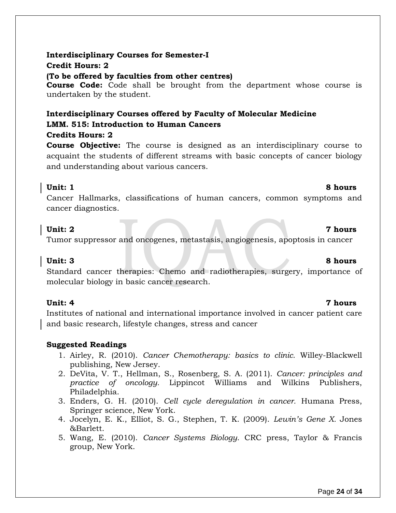#### **Interdisciplinary Courses for Semester-I Credit Hours: 2**

#### **(To be offered by faculties from other centres)**

**Course Code:** Code shall be brought from the department whose course is undertaken by the student.

# **Interdisciplinary Courses offered by Faculty of Molecular Medicine LMM. 515: Introduction to Human Cancers**

### **Credits Hours: 2**

**Course Objective:** The course is designed as an interdisciplinary course to acquaint the students of different streams with basic concepts of cancer biology and understanding about various cancers.

#### **Unit: 1 8 hours**

Cancer Hallmarks, classifications of human cancers, common symptoms and cancer diagnostics.

### **Unit: 2 7 hours**

Tumor suppressor and oncogenes, metastasis, angiogenesis, apoptosis in cancer

Standard cancer therapies: Chemo and radiotherapies, surgery, importance of molecular biology in basic cancer research.

### **Unit: 4 7 hours**

Institutes of national and international importance involved in cancer patient care and basic research, lifestyle changes, stress and cancer

### **Suggested Readings**

- 1. Airley, R. (2010). *Cancer Chemotherapy: basics to clinic.* Willey-Blackwell publishing, New Jersey.
- 2. DeVita, V. T., Hellman, S., Rosenberg, S. A. (2011). *Cancer: principles and practice of oncology.* Lippincot Williams and Wilkins Publishers, Philadelphia.
- 3. Enders, G. H. (2010). *Cell cycle deregulation in cancer.* Humana Press, Springer science, New York.
- 4. Jocelyn, E. K., Elliot, S. G., Stephen, T. K. (2009). *Lewin's Gene X.* Jones &Barlett.
- 5. Wang, E. (2010). *Cancer Systems Biology*. CRC press, Taylor & Francis group, New York.

### **Unit: 3 8 hours**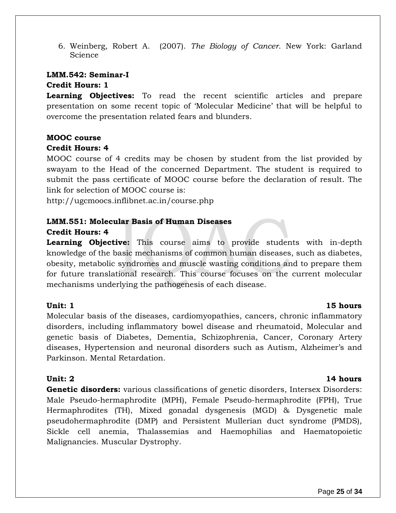6. Weinberg, Robert A. (2007). *The Biology of Cancer*. New York: Garland **Science** 

#### **LMM.542: Seminar-I Credit Hours: 1**

**Learning Objectives:** To read the recent scientific articles and prepare presentation on some recent topic of 'Molecular Medicine' that will be helpful to overcome the presentation related fears and blunders.

#### **MOOC course Credit Hours: 4**

MOOC course of 4 credits may be chosen by student from the list provided by swayam to the Head of the concerned Department. The student is required to submit the pass certificate of MOOC course before the declaration of result. The link for selection of MOOC course is:

<http://ugcmoocs.inflibnet.ac.in/course.php>

### **LMM.551: Molecular Basis of Human Diseases**

#### **Credit Hours: 4**

**Learning Objective:** This course aims to provide students with in-depth knowledge of the basic mechanisms of common human diseases, such as diabetes, obesity, metabolic syndromes and muscle wasting conditions and to prepare them for future translational research. This course focuses on the current molecular mechanisms underlying the pathogenesis of each disease.

#### **Unit: 1 15 hours**

### Molecular basis of the diseases, cardiomyopathies, cancers, chronic inflammatory disorders, including inflammatory bowel disease and rheumatoid, Molecular and genetic basis of Diabetes, Dementia, Schizophrenia, Cancer, Coronary Artery diseases, Hypertension and neuronal disorders such as Autism, Alzheimer's and Parkinson. Mental Retardation.

### **Unit: 2 14 hours**

**Genetic disorders:** various classifications of genetic disorders, Intersex Disorders: Male Pseudo-hermaphrodite (MPH), Female Pseudo-hermaphrodite (FPH), True Hermaphrodites (TH), Mixed gonadal dysgenesis (MGD) & Dysgenetic male pseudohermaphrodite (DMP) and Persistent Mullerian duct syndrome (PMDS), Sickle cell anemia, Thalassemias and Haemophilias and Haematopoietic Malignancies. Muscular Dystrophy.

#### Page **25** of **34**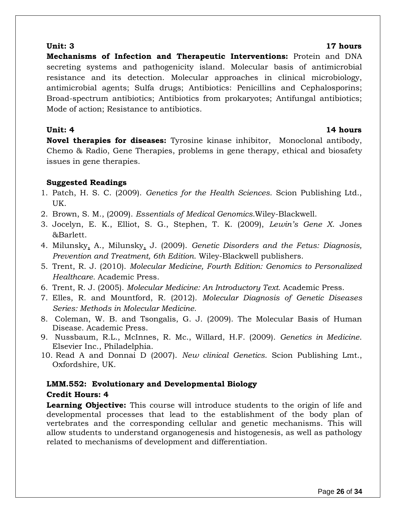**Mechanisms of Infection and Therapeutic Interventions:** Protein and DNA secreting systems and pathogenicity island. Molecular basis of antimicrobial resistance and its detection. Molecular approaches in clinical microbiology, antimicrobial agents; Sulfa drugs; Antibiotics: Penicillins and Cephalosporins; Broad-spectrum antibiotics; Antibiotics from prokaryotes; Antifungal antibiotics; Mode of action; Resistance to antibiotics.

#### **Unit: 4 14 hours**

**Novel therapies for diseases:** Tyrosine kinase inhibitor, Monoclonal antibody, Chemo & Radio, Gene Therapies, problems in gene therapy, ethical and biosafety issues in gene therapies.

### **Suggested Readings**

- 1. Patch, H. S. C. (2009). *Genetics for the Health Sciences*. Scion Publishing Ltd., UK.
- 2. Brown, S. M., (2009). *Essentials of Medical Genomics.*Wiley-Blackwell.
- 3. Jocelyn, E. K., Elliot, S. G., Stephen, T. K. (2009), *Lewin's Gene X*. Jones &Barlett.
- 4. Milunsky, A., Milunsky, J. (2009). *Genetic Disorders and the Fetus: Diagnosis, Prevention and Treatment, 6th Edition*. Wiley-Blackwell publishers.
- 5. Trent, R. J. (2010). *Molecular Medicine, Fourth Edition: Genomics to Personalized Healthcare.* Academic Press.
- 6. Trent, R. J. (2005). *Molecular Medicine: An Introductory Text.* Academic Press.
- 7. Elles, R. and Mountford, R. (2012). *Molecular Diagnosis of Genetic Diseases Series: Methods in Molecular Medicine.*
- 8. Coleman, W. B. and Tsongalis, G. J. (2009). The Molecular Basis of Human Disease. Academic Press.
- 9. Nussbaum, R.L., McInnes, R. Mc., Willard, H.F. (2009). *Genetics in Medicine*. Elsevier Inc., Philadelphia.
- 10. Read A and Donnai D (2007). *New clinical Genetics*. Scion Publishing Lmt., Oxfordshire, UK.

### **LMM.552: Evolutionary and Developmental Biology Credit Hours: 4**

**Learning Objective:** This course will introduce students to the origin of life and developmental processes that lead to the establishment of the body plan of vertebrates and the corresponding cellular and genetic mechanisms. This will allow students to understand organogenesis and histogenesis, as well as pathology related to mechanisms of development and differentiation.

#### **Unit: 3 17 hours**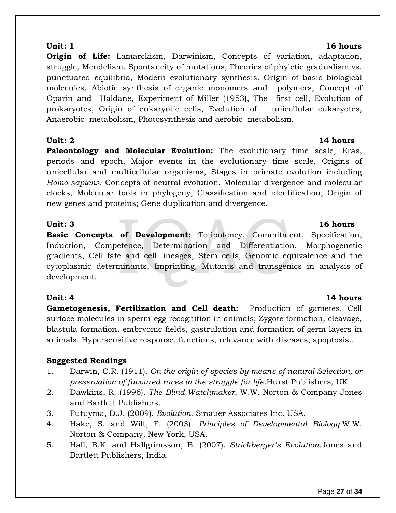**Origin of Life:** Lamarckism, Darwinism, Concepts of variation, adaptation, struggle, Mendelism, Spontaneity of mutations, Theories of phyletic gradualism vs. punctuated equilibria, Modern evolutionary synthesis. Origin of basic biological molecules, Abiotic synthesis of organic monomers and polymers, Concept of Oparin and Haldane, Experiment of Miller (1953), The first cell, Evolution of prokaryotes, Origin of eukaryotic cells, Evolution of unicellular eukaryotes, Anaerobic metabolism, Photosynthesis and aerobic metabolism.

**Paleontology and Molecular Evolution:** The evolutionary time scale, Eras, periods and epoch, Major events in the evolutionary time scale, Origins of unicellular and multicellular organisms, Stages in primate evolution including *Homo sapiens*. Concepts of neutral evolution, Molecular divergence and molecular clocks, Molecular tools in phylogeny, Classification and identification; Origin of new genes and proteins; Gene duplication and divergence.

**Basic Concepts of Development:** Totipotency, Commitment, Specification, Induction, Competence, Determination and Differentiation, Morphogenetic gradients, Cell fate and cell lineages, Stem cells, Genomic equivalence and the cytoplasmic determinants, Imprinting, Mutants and transgenics in analysis of development.

### **Unit: 4 14 hours**

**Gametogenesis, Fertilization and Cell death:** Production of gametes, Cell surface molecules in sperm-egg recognition in animals; Zygote formation, cleavage, blastula formation, embryonic fields, gastrulation and formation of germ layers in animals. Hypersensitive response, functions, relevance with diseases, apoptosis..

### **Suggested Readings**

- 1. Darwin, C.R. (1911). *On the origin of species by means of natural Selection, or preservation of favoured races in the struggle for life*.Hurst Publishers, UK.
- 2. Dawkins, R. (1996). *The Blind Watchmaker*, W.W. Norton & Company Jones and Bartlett Publishers.
- 3. Futuyma, D.J. (2009). *Evolution*. Sinauer Associates Inc. USA.
- 4. Hake, S. and Wilt, F. (2003). *Principles of Developmental Biology*.W.W. Norton & Company, New York, USA.
- 5. Hall, B.K. and Hallgrimsson, B. (2007). *Strickberger's Evolution.*Jones and Bartlett Publishers, India.

#### **Unit: 1 16 hours**

#### **Unit: 2** 14 hours

# **Unit: 3 16 hours**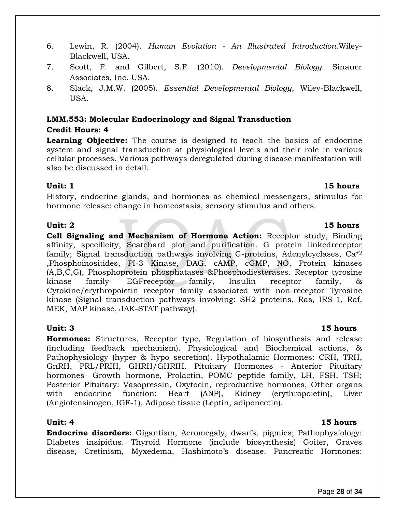Page **28** of **34**

- 6. Lewin, R. (2004). *Human Evolution - An Illustrated Introduction*.Wiley-Blackwell, USA.
- 7. Scott, F. and Gilbert, S.F. (2010). *Developmental Biology*. Sinauer Associates, Inc. USA.
- 8. Slack, J.M.W. (2005). *Essential Developmental Biology*, Wiley-Blackwell, USA.

### **LMM.553: Molecular Endocrinology and Signal Transduction Credit Hours: 4**

**Learning Objective:** The course is designed to teach the basics of endocrine system and signal transduction at physiological levels and their role in various cellular processes. Various pathways deregulated during disease manifestation will also be discussed in detail.

#### **Unit: 1** 15 hours

History, endocrine glands, and hormones as chemical messengers, stimulus for hormone release: change in homeostasis, sensory stimulus and others.

#### Unit: 2 15 hours

**Cell Signaling and Mechanism of Hormone Action:** Receptor study, Binding affinity, specificity, Scatchard plot and purification. G protein linkedreceptor family; Signal transduction pathways involving G-proteins, Adenylcyclases,  $Ca^{+2}$ ,Phosphoinositides, PI-3 Kinase, DAG, cAMP, cGMP, NO, Protein kinases (A,B,C,G), Phosphoprotein phosphatases &Phosphodiesterases. Receptor tyrosine kinase family- EGFreceptor family, Insulin receptor family, & Cytokine/erythropoietin receptor family associated with non-receptor Tyrosine kinase (Signal transduction pathways involving: SH2 proteins, Ras, IRS-1, Raf, MEK, MAP kinase, JAK-STAT pathway).

**Hormones:** Structures, Receptor type, Regulation of biosynthesis and release (including feedback mechanism). Physiological and Biochemical actions, & Pathophysiology (hyper & hypo secretion). Hypothalamic Hormones: CRH, TRH, GnRH, PRL/PRIH, GHRH/GHRIH. Pituitary Hormones - Anterior Pituitary hormones- Growth hormone, Prolactin, POMC peptide family, LH, FSH, TSH; Posterior Pituitary: Vasopressin, Oxytocin, reproductive hormones, Other organs with endocrine function: Heart (ANP), Kidney (erythropoietin), Liver (Angiotensinogen, IGF-1), Adipose tissue (Leptin, adiponectin).

#### **Unit: 4** 15 hours

**Endocrine disorders:** Gigantism, Acromegaly, dwarfs, pigmies; Pathophysiology: Diabetes insipidus. Thyroid Hormone (include biosynthesis) Goiter, Graves disease, Cretinism, Myxedema, Hashimoto's disease. Pancreatic Hormones:

### **Unit: 3 15 hours**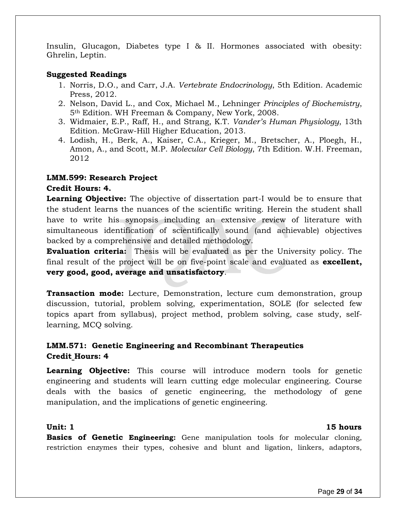Insulin, Glucagon, Diabetes type I & II. Hormones associated with obesity: Ghrelin, Leptin.

#### **Suggested Readings**

- 1. Norris, D.O., and Carr, J.A. *Vertebrate Endocrinology*, 5th Edition. Academic Press, 2012.
- 2. Nelson, David L., and Cox, Michael M., Lehninger *Principles of Biochemistry*, 5th Edition. WH Freeman & Company, New York, 2008.
- 3. Widmaier, E.P., Raff, H., and Strang, K.T. *Vander's Human Physiology*, 13th Edition. McGraw-Hill Higher Education, 2013.
- 4. Lodish, H., Berk, A., Kaiser, C.A., Krieger, M., Bretscher, A., Ploegh, H., Amon, A., and Scott, M.P. *Molecular Cell Biology*, 7th Edition. W.H. Freeman, 2012

#### **LMM.599: Research Project**

#### **Credit Hours: 4.**

**Learning Objective:** The objective of dissertation part-I would be to ensure that the student learns the nuances of the scientific writing. Herein the student shall have to write his synopsis including an extensive review of literature with simultaneous identification of scientifically sound (and achievable) objectives backed by a comprehensive and detailed methodology.

**Evaluation criteria:** Thesis will be evaluated as per the University policy. The final result of the project will be on five-point scale and evaluated as **excellent, very good, good, average and unsatisfactory**.

**Transaction mode:** Lecture, Demonstration, lecture cum demonstration, group discussion, tutorial, problem solving, experimentation, SOLE (for selected few topics apart from syllabus), project method, problem solving, case study, selflearning, MCQ solving.

### **LMM.571: Genetic Engineering and Recombinant Therapeutics Credit Hours: 4**

**Learning Objective:** This course will introduce modern tools for genetic engineering and students will learn cutting edge molecular engineering. Course deals with the basics of genetic engineering, the methodology of gene manipulation, and the implications of genetic engineering.

#### **Unit: 1 15 hours**

**Basics of Genetic Engineering:** Gene manipulation tools for molecular cloning, restriction enzymes their types, cohesive and blunt and ligation, linkers, adaptors,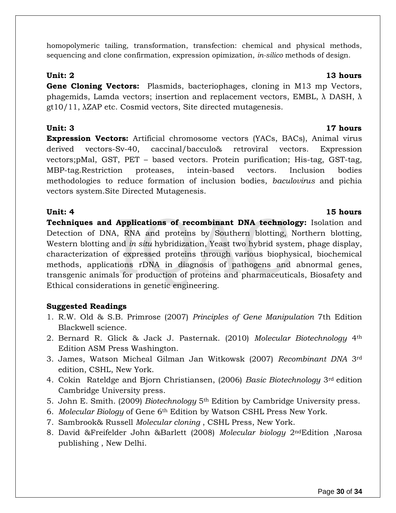homopolymeric tailing, transformation, transfection: chemical and physical methods, sequencing and clone confirmation, expression opimization, *in-silico* methods of design.

**Gene Cloning Vectors:** Plasmids, bacteriophages, cloning in M13 mp Vectors, phagemids, Lamda vectors; insertion and replacement vectors, EMBL,  $\lambda$  DASH,  $\lambda$ gt10/11, λZAP etc. Cosmid vectors, Site directed mutagenesis.

**Unit: 3 17 hours Expression Vectors:** Artificial chromosome vectors (YACs, BACs), Animal virus derived vectors-Sv-40, caccinal/bacculo& retroviral vectors. Expression vectors;pMal, GST, PET – based vectors. Protein purification; His-tag, GST-tag, MBP-tag.Restriction proteases, intein-based vectors. Inclusion bodies methodologies to reduce formation of inclusion bodies, *baculovirus* and pichia vectors system.Site Directed Mutagenesis.

**Unit: 4 15 hours Techniques and Applications of recombinant DNA technology:** Isolation and Detection of DNA, RNA and proteins by Southern blotting, Northern blotting, Western blotting and *in situ* hybridization, Yeast two hybrid system, phage display, characterization of expressed proteins through various biophysical, biochemical methods, applications rDNA in diagnosis of pathogens and abnormal genes, transgenic animals for production of proteins and pharmaceuticals, Biosafety and Ethical considerations in genetic engineering.

### **Suggested Readings**

- 1. R.W. Old & S.B. Primrose (2007) *Principles of Gene Manipulation* 7th Edition Blackwell science.
- 2. Bernard R. Glick & Jack J. Pasternak. (2010) *Molecular Biotechnology* 4th Edition ASM Press Washington.
- 3. James, Watson Micheal Gilman Jan Witkowsk (2007) *Recombinant DNA* 3rd edition, CSHL, New York.
- 4. Cokin Rateldge and Bjorn Christiansen, (2006) *Basic Biotechnology* 3rd edition Cambridge University press.
- 5. John E. Smith. (2009) *Biotechnology* 5th Edition by Cambridge University press.
- 6. *Molecular Biology* of Gene 6th Edition by Watson CSHL Press New York.
- 7. Sambrook& Russell *Molecular cloning* , CSHL Press, New York.
- 8. David &Freifelder John &Barlett (2008) *Molecular biology* 2ndEdition ,Narosa publishing , New Delhi.

#### **Unit: 2 13 hours**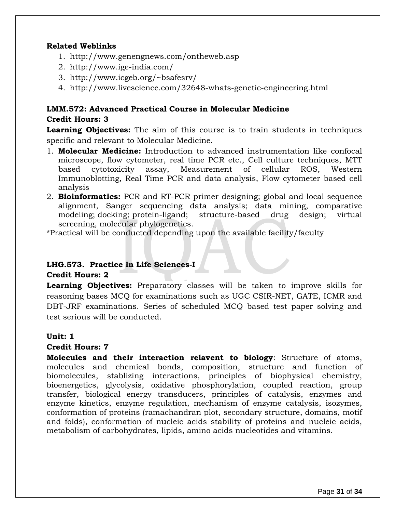#### **Related Weblinks**

- 1. <http://www.genengnews.com/ontheweb.asp>
- 2. <http://www.ige-india.com/>
- 3. <http://www.icgeb.org/~bsafesrv/>
- 4. <http://www.livescience.com/32648-whats-genetic-engineering.html>

### **LMM.572: Advanced Practical Course in Molecular Medicine Credit Hours: 3**

**Learning Objectives:** The aim of this course is to train students in techniques specific and relevant to Molecular Medicine.

- 1. **Molecular Medicine:** Introduction to advanced instrumentation like confocal microscope, flow cytometer, real time PCR etc., Cell culture techniques, MTT based cytotoxicity assay, Measurement of cellular ROS, Western Immunoblotting, Real Time PCR and data analysis, Flow cytometer based cell analysis
- 2. **Bioinformatics:** PCR and RT-PCR primer designing; global and local sequence alignment, Sanger sequencing data analysis; data mining, comparative modeling; docking; protein-ligand; structure-based drug design; virtual screening, molecular phylogenetics.

\*Practical will be conducted depending upon the available facility/faculty

### **LHG.573. Practice in Life Sciences-I**

#### **Credit Hours: 2**

**Learning Objectives:** Preparatory classes will be taken to improve skills for reasoning bases MCQ for examinations such as UGC CSIR-NET, GATE, ICMR and DBT-JRF examinations. Series of scheduled MCQ based test paper solving and test serious will be conducted.

#### **Unit: 1**

### **Credit Hours: 7**

**Molecules and their interaction relavent to biology**: Structure of atoms, molecules and chemical bonds, composition, structure and function of biomolecules, stablizing interactions, principles of biophysical chemistry, bioenergetics, glycolysis, oxidative phosphorylation, coupled reaction, group transfer, biological energy transducers, principles of catalysis, enzymes and enzyme kinetics, enzyme regulation, mechanism of enzyme catalysis, isozymes, conformation of proteins (ramachandran plot, secondary structure, domains, motif and folds), conformation of nucleic acids stability of proteins and nucleic acids, metabolism of carbohydrates, lipids, amino acids nucleotides and vitamins.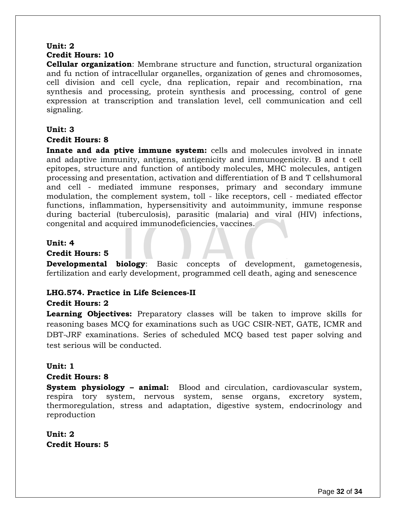### **Unit: 2 Credit Hours: 10**

**Cellular organization**: Membrane structure and function, structural organization and fu nction of intracellular organelles, organization of genes and chromosomes, cell division and cell cycle, dna replication, repair and recombination, rna synthesis and processing, protein synthesis and processing, control of gene expression at transcription and translation level, cell communication and cell signaling.

#### **Unit: 3**

#### **Credit Hours: 8**

**Innate and ada ptive immune system:** cells and molecules involved in innate and adaptive immunity, antigens, antigenicity and immunogenicity. B and t cell epitopes, structure and function of antibody molecules, MHC molecules, antigen processing and presentation, activation and differentiation of B and T cellshumoral and cell - mediated immune responses, primary and secondary immune modulation, the complement system, toll - like receptors, cell - mediated effector functions, inflammation, hypersensitivity and autoimmunity, immune response during bacterial (tuberculosis), parasitic (malaria) and viral (HIV) infections, congenital and acquired immunodeficiencies, vaccines.

#### **Unit: 4**

#### **Credit Hours: 5**

**Developmental biology**: Basic concepts of development, gametogenesis, fertilization and early development, programmed cell death, aging and senescence

### **LHG.574. Practice in Life Sciences-II**

### **Credit Hours: 2**

**Learning Objectives:** Preparatory classes will be taken to improve skills for reasoning bases MCQ for examinations such as UGC CSIR-NET, GATE, ICMR and DBT-JRF examinations. Series of scheduled MCQ based test paper solving and test serious will be conducted.

### **Unit: 1**

#### **Credit Hours: 8**

**System physiology – animal:** Blood and circulation, cardiovascular system, respira tory system, nervous system, sense organs, excretory system, thermoregulation, stress and adaptation, digestive system, endocrinology and reproduction

**Unit: 2 Credit Hours: 5**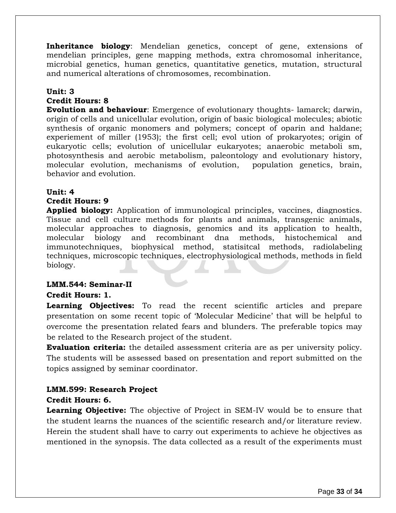**Inheritance biology**: Mendelian genetics, concept of gene, extensions of mendelian principles, gene mapping methods, extra chromosomal inheritance, microbial genetics, human genetics, quantitative genetics, mutation, structural and numerical alterations of chromosomes, recombination.

#### **Unit: 3**

#### **Credit Hours: 8**

**Evolution and behaviour**: Emergence of evolutionary thoughts- lamarck; darwin, origin of cells and unicellular evolution, origin of basic biological molecules; abiotic synthesis of organic monomers and polymers; concept of oparin and haldane; experiement of miller (1953); the first cell; evol ution of prokaryotes; origin of eukaryotic cells; evolution of unicellular eukaryotes; anaerobic metaboli sm, photosynthesis and aerobic metabolism, paleontology and evolutionary history, molecular evolution, mechanisms of evolution, population genetics, brain, behavior and evolution.

### **Unit: 4**

#### **Credit Hours: 9**

**Applied biology:** Application of immunological principles, vaccines, diagnostics. Tissue and cell culture methods for plants and animals, transgenic animals, molecular approaches to diagnosis, genomics and its application to health, molecular biology and recombinant dna methods, histochemical and immunotechniques, biophysical method, statisitcal methods, radiolabeling techniques, microscopic techniques, electrophysiological methods, methods in field biology.

#### **LMM.544: Seminar-II**

#### **Credit Hours: 1.**

**Learning Objectives:** To read the recent scientific articles and prepare presentation on some recent topic of 'Molecular Medicine' that will be helpful to overcome the presentation related fears and blunders. The preferable topics may be related to the Research project of the student.

**Evaluation criteria:** the detailed assessment criteria are as per university policy. The students will be assessed based on presentation and report submitted on the topics assigned by seminar coordinator.

### **LMM.599: Research Project**

#### **Credit Hours: 6.**

**Learning Objective:** The objective of Project in SEM-IV would be to ensure that the student learns the nuances of the scientific research and/or literature review. Herein the student shall have to carry out experiments to achieve he objectives as mentioned in the synopsis. The data collected as a result of the experiments must